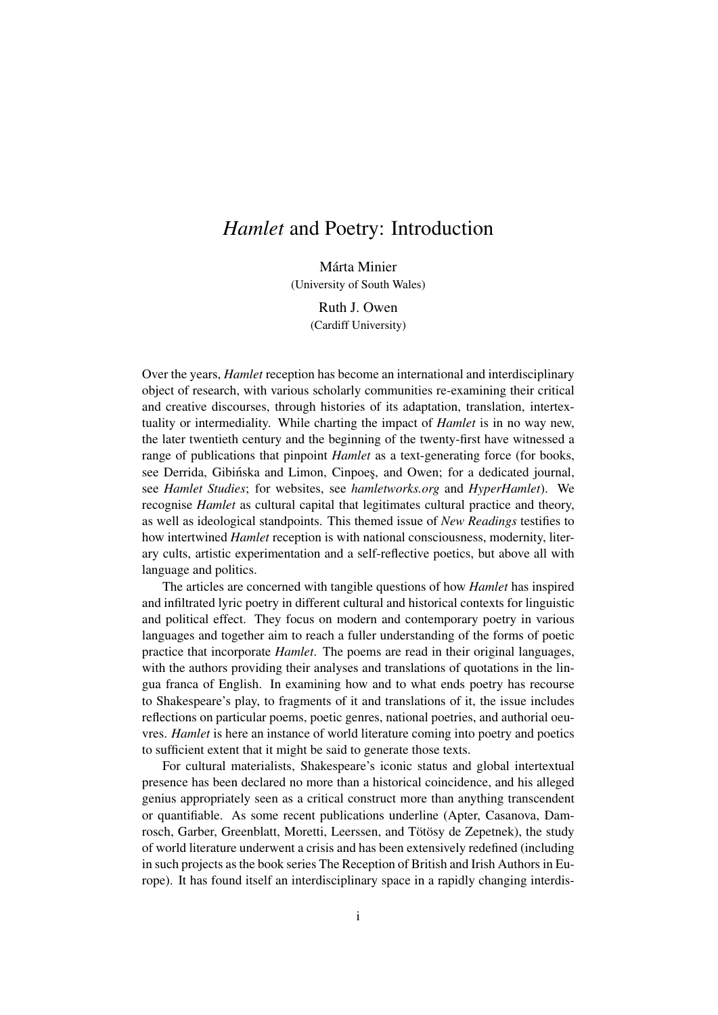## *Hamlet* and Poetry: Introduction

Márta Minier (University of South Wales)

> Ruth J. Owen (Cardiff University)

Over the years, *Hamlet* reception has become an international and interdisciplinary object of research, with various scholarly communities re-examining their critical and creative discourses, through histories of its adaptation, translation, intertextuality or intermediality. While charting the impact of *Hamlet* is in no way new, the later twentieth century and the beginning of the twenty-first have witnessed a range of publications that pinpoint *Hamlet* as a text-generating force (for books, see Derrida, Gibińska and Limon, Cinpoes, and Owen; for a dedicated journal, see *Hamlet Studies*; for websites, see *hamletworks.org* and *HyperHamlet*). We recognise *Hamlet* as cultural capital that legitimates cultural practice and theory, as well as ideological standpoints. This themed issue of *New Readings* testifies to how intertwined *Hamlet* reception is with national consciousness, modernity, literary cults, artistic experimentation and a self-reflective poetics, but above all with language and politics.

The articles are concerned with tangible questions of how *Hamlet* has inspired and infiltrated lyric poetry in different cultural and historical contexts for linguistic and political effect. They focus on modern and contemporary poetry in various languages and together aim to reach a fuller understanding of the forms of poetic practice that incorporate *Hamlet*. The poems are read in their original languages, with the authors providing their analyses and translations of quotations in the lingua franca of English. In examining how and to what ends poetry has recourse to Shakespeare's play, to fragments of it and translations of it, the issue includes reflections on particular poems, poetic genres, national poetries, and authorial oeuvres. *Hamlet* is here an instance of world literature coming into poetry and poetics to sufficient extent that it might be said to generate those texts.

For cultural materialists, Shakespeare's iconic status and global intertextual presence has been declared no more than a historical coincidence, and his alleged genius appropriately seen as a critical construct more than anything transcendent or quantifiable. As some recent publications underline (Apter, Casanova, Damrosch, Garber, Greenblatt, Moretti, Leerssen, and Tötösy de Zepetnek), the study of world literature underwent a crisis and has been extensively redefined (including in such projects as the book series The Reception of British and Irish Authors in Europe). It has found itself an interdisciplinary space in a rapidly changing interdis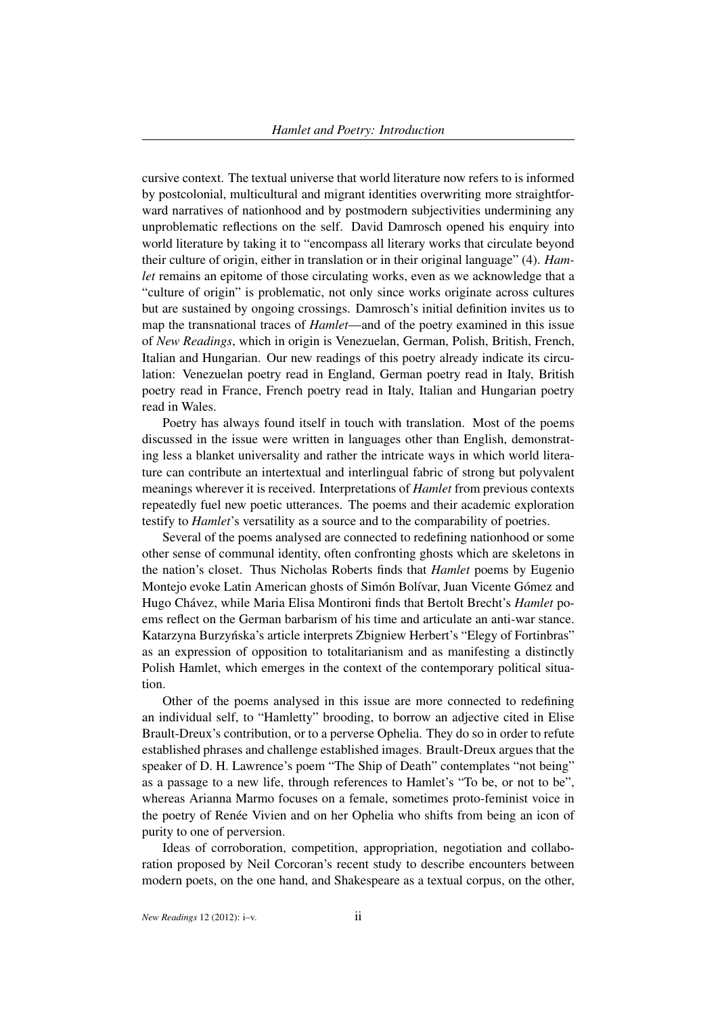cursive context. The textual universe that world literature now refers to is informed by postcolonial, multicultural and migrant identities overwriting more straightforward narratives of nationhood and by postmodern subjectivities undermining any unproblematic reflections on the self. David Damrosch opened his enquiry into world literature by taking it to "encompass all literary works that circulate beyond their culture of origin, either in translation or in their original language" (4). *Hamlet* remains an epitome of those circulating works, even as we acknowledge that a "culture of origin" is problematic, not only since works originate across cultures but are sustained by ongoing crossings. Damrosch's initial definition invites us to map the transnational traces of *Hamlet*—and of the poetry examined in this issue of *New Readings*, which in origin is Venezuelan, German, Polish, British, French, Italian and Hungarian. Our new readings of this poetry already indicate its circulation: Venezuelan poetry read in England, German poetry read in Italy, British poetry read in France, French poetry read in Italy, Italian and Hungarian poetry read in Wales.

Poetry has always found itself in touch with translation. Most of the poems discussed in the issue were written in languages other than English, demonstrating less a blanket universality and rather the intricate ways in which world literature can contribute an intertextual and interlingual fabric of strong but polyvalent meanings wherever it is received. Interpretations of *Hamlet* from previous contexts repeatedly fuel new poetic utterances. The poems and their academic exploration testify to *Hamlet*'s versatility as a source and to the comparability of poetries.

Several of the poems analysed are connected to redefining nationhood or some other sense of communal identity, often confronting ghosts which are skeletons in the nation's closet. Thus Nicholas Roberts finds that *Hamlet* poems by Eugenio Montejo evoke Latin American ghosts of Simón Bolívar, Juan Vicente Gómez and Hugo Chávez, while Maria Elisa Montironi finds that Bertolt Brecht's *Hamlet* poems reflect on the German barbarism of his time and articulate an anti-war stance. Katarzyna Burzynska's article interprets Zbigniew Herbert's "Elegy of Fortinbras" ´ as an expression of opposition to totalitarianism and as manifesting a distinctly Polish Hamlet, which emerges in the context of the contemporary political situation.

Other of the poems analysed in this issue are more connected to redefining an individual self, to "Hamletty" brooding, to borrow an adjective cited in Elise Brault-Dreux's contribution, or to a perverse Ophelia. They do so in order to refute established phrases and challenge established images. Brault-Dreux argues that the speaker of D. H. Lawrence's poem "The Ship of Death" contemplates "not being" as a passage to a new life, through references to Hamlet's "To be, or not to be", whereas Arianna Marmo focuses on a female, sometimes proto-feminist voice in the poetry of Renée Vivien and on her Ophelia who shifts from being an icon of purity to one of perversion.

Ideas of corroboration, competition, appropriation, negotiation and collaboration proposed by Neil Corcoran's recent study to describe encounters between modern poets, on the one hand, and Shakespeare as a textual corpus, on the other,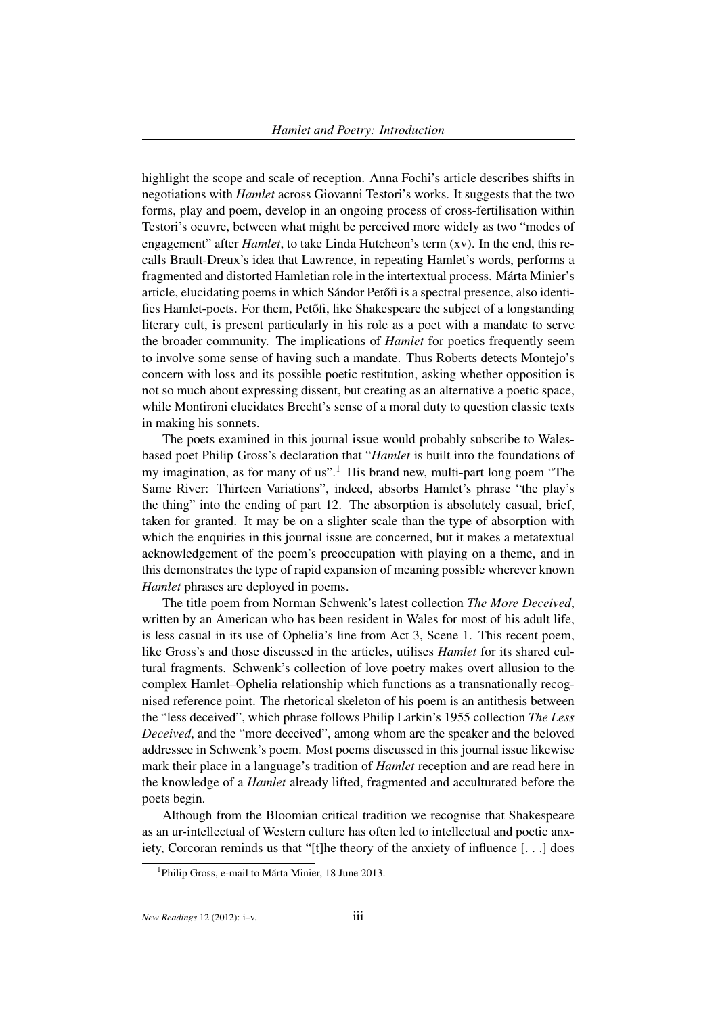highlight the scope and scale of reception. Anna Fochi's article describes shifts in negotiations with *Hamlet* across Giovanni Testori's works. It suggests that the two forms, play and poem, develop in an ongoing process of cross-fertilisation within Testori's oeuvre, between what might be perceived more widely as two "modes of engagement" after *Hamlet*, to take Linda Hutcheon's term (xv). In the end, this recalls Brault-Dreux's idea that Lawrence, in repeating Hamlet's words, performs a fragmented and distorted Hamletian role in the intertextual process. Márta Minier's article, elucidating poems in which Sándor Petőfi is a spectral presence, also identifies Hamlet-poets. For them, Petőfi, like Shakespeare the subject of a longstanding literary cult, is present particularly in his role as a poet with a mandate to serve the broader community. The implications of *Hamlet* for poetics frequently seem to involve some sense of having such a mandate. Thus Roberts detects Montejo's concern with loss and its possible poetic restitution, asking whether opposition is not so much about expressing dissent, but creating as an alternative a poetic space, while Montironi elucidates Brecht's sense of a moral duty to question classic texts in making his sonnets.

The poets examined in this journal issue would probably subscribe to Walesbased poet Philip Gross's declaration that "*Hamlet* is built into the foundations of my imagination, as for many of us".<sup>1</sup> His brand new, multi-part long poem "The Same River: Thirteen Variations", indeed, absorbs Hamlet's phrase "the play's the thing" into the ending of part 12. The absorption is absolutely casual, brief, taken for granted. It may be on a slighter scale than the type of absorption with which the enquiries in this journal issue are concerned, but it makes a metatextual acknowledgement of the poem's preoccupation with playing on a theme, and in this demonstrates the type of rapid expansion of meaning possible wherever known *Hamlet* phrases are deployed in poems.

The title poem from Norman Schwenk's latest collection *The More Deceived*, written by an American who has been resident in Wales for most of his adult life, is less casual in its use of Ophelia's line from Act 3, Scene 1. This recent poem, like Gross's and those discussed in the articles, utilises *Hamlet* for its shared cultural fragments. Schwenk's collection of love poetry makes overt allusion to the complex Hamlet–Ophelia relationship which functions as a transnationally recognised reference point. The rhetorical skeleton of his poem is an antithesis between the "less deceived", which phrase follows Philip Larkin's 1955 collection *The Less Deceived*, and the "more deceived", among whom are the speaker and the beloved addressee in Schwenk's poem. Most poems discussed in this journal issue likewise mark their place in a language's tradition of *Hamlet* reception and are read here in the knowledge of a *Hamlet* already lifted, fragmented and acculturated before the poets begin.

Although from the Bloomian critical tradition we recognise that Shakespeare as an ur-intellectual of Western culture has often led to intellectual and poetic anxiety, Corcoran reminds us that "[t]he theory of the anxiety of influence [. . .] does

<sup>&</sup>lt;sup>1</sup>Philip Gross, e-mail to Márta Minier, 18 June 2013.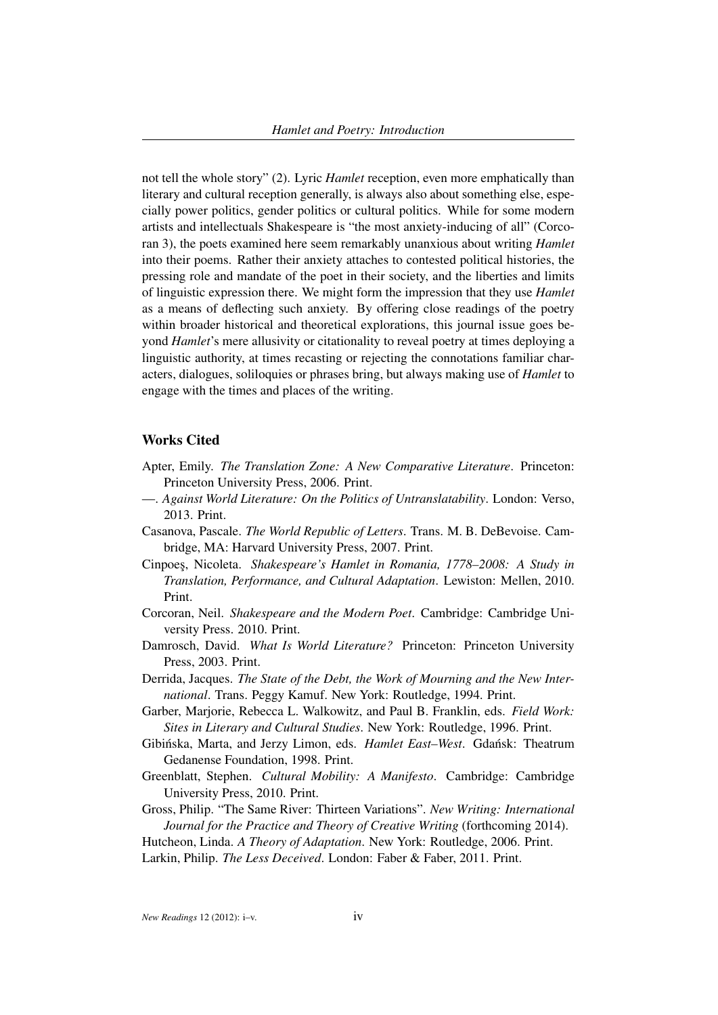not tell the whole story" (2). Lyric *Hamlet* reception, even more emphatically than literary and cultural reception generally, is always also about something else, especially power politics, gender politics or cultural politics. While for some modern artists and intellectuals Shakespeare is "the most anxiety-inducing of all" (Corcoran 3), the poets examined here seem remarkably unanxious about writing *Hamlet* into their poems. Rather their anxiety attaches to contested political histories, the pressing role and mandate of the poet in their society, and the liberties and limits of linguistic expression there. We might form the impression that they use *Hamlet* as a means of deflecting such anxiety. By offering close readings of the poetry within broader historical and theoretical explorations, this journal issue goes beyond *Hamlet*'s mere allusivity or citationality to reveal poetry at times deploying a linguistic authority, at times recasting or rejecting the connotations familiar characters, dialogues, soliloquies or phrases bring, but always making use of *Hamlet* to engage with the times and places of the writing.

## Works Cited

- Apter, Emily. *The Translation Zone: A New Comparative Literature*. Princeton: Princeton University Press, 2006. Print.
- —. *Against World Literature: On the Politics of Untranslatability*. London: Verso, 2013. Print.
- Casanova, Pascale. *The World Republic of Letters*. Trans. M. B. DeBevoise. Cambridge, MA: Harvard University Press, 2007. Print.
- Cinpoes, Nicoleta. *Shakespeare's Hamlet in Romania, 1778–2008: A Study in Translation, Performance, and Cultural Adaptation*. Lewiston: Mellen, 2010. Print.
- Corcoran, Neil. *Shakespeare and the Modern Poet*. Cambridge: Cambridge University Press. 2010. Print.
- Damrosch, David. *What Is World Literature?* Princeton: Princeton University Press, 2003. Print.
- Derrida, Jacques. *The State of the Debt, the Work of Mourning and the New International*. Trans. Peggy Kamuf. New York: Routledge, 1994. Print.
- Garber, Marjorie, Rebecca L. Walkowitz, and Paul B. Franklin, eds. *Field Work: Sites in Literary and Cultural Studies*. New York: Routledge, 1996. Print.
- Gibińska, Marta, and Jerzy Limon, eds. Hamlet East-West. Gdańsk: Theatrum Gedanense Foundation, 1998. Print.
- Greenblatt, Stephen. *Cultural Mobility: A Manifesto*. Cambridge: Cambridge University Press, 2010. Print.
- Gross, Philip. "The Same River: Thirteen Variations". *New Writing: International Journal for the Practice and Theory of Creative Writing* (forthcoming 2014).

Hutcheon, Linda. *A Theory of Adaptation*. New York: Routledge, 2006. Print. Larkin, Philip. *The Less Deceived*. London: Faber & Faber, 2011. Print.